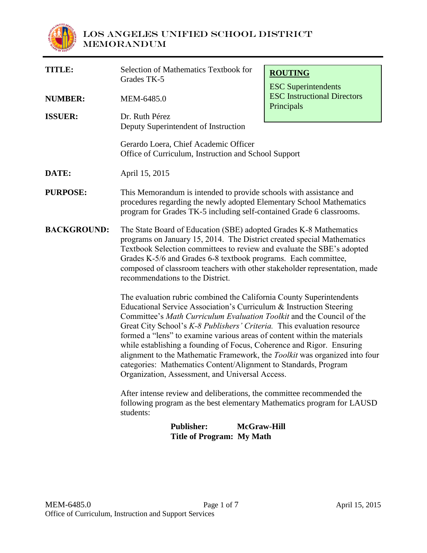

| <b>TITLE:</b>      | Selection of Mathematics Textbook for<br>Grades TK-5                                                                                                                                                                                                                                                                                                                                                                                                                                                                                                                                                                                                    | <b>ROUTING</b><br><b>ESC</b> Superintendents     |  |  |
|--------------------|---------------------------------------------------------------------------------------------------------------------------------------------------------------------------------------------------------------------------------------------------------------------------------------------------------------------------------------------------------------------------------------------------------------------------------------------------------------------------------------------------------------------------------------------------------------------------------------------------------------------------------------------------------|--------------------------------------------------|--|--|
| <b>NUMBER:</b>     | MEM-6485.0                                                                                                                                                                                                                                                                                                                                                                                                                                                                                                                                                                                                                                              | <b>ESC</b> Instructional Directors<br>Principals |  |  |
| <b>ISSUER:</b>     | Dr. Ruth Pérez<br>Deputy Superintendent of Instruction                                                                                                                                                                                                                                                                                                                                                                                                                                                                                                                                                                                                  |                                                  |  |  |
|                    | Gerardo Loera, Chief Academic Officer<br>Office of Curriculum, Instruction and School Support                                                                                                                                                                                                                                                                                                                                                                                                                                                                                                                                                           |                                                  |  |  |
| DATE:              | April 15, 2015                                                                                                                                                                                                                                                                                                                                                                                                                                                                                                                                                                                                                                          |                                                  |  |  |
| <b>PURPOSE:</b>    | This Memorandum is intended to provide schools with assistance and<br>procedures regarding the newly adopted Elementary School Mathematics<br>program for Grades TK-5 including self-contained Grade 6 classrooms.                                                                                                                                                                                                                                                                                                                                                                                                                                      |                                                  |  |  |
| <b>BACKGROUND:</b> | The State Board of Education (SBE) adopted Grades K-8 Mathematics<br>programs on January 15, 2014. The District created special Mathematics<br>Textbook Selection committees to review and evaluate the SBE's adopted<br>Grades K-5/6 and Grades 6-8 textbook programs. Each committee,<br>composed of classroom teachers with other stakeholder representation, made<br>recommendations to the District.                                                                                                                                                                                                                                               |                                                  |  |  |
|                    | The evaluation rubric combined the California County Superintendents<br>Educational Service Association's Curriculum & Instruction Steering<br>Committee's Math Curriculum Evaluation Toolkit and the Council of the<br>Great City School's K-8 Publishers' Criteria. This evaluation resource<br>formed a "lens" to examine various areas of content within the materials<br>while establishing a founding of Focus, Coherence and Rigor. Ensuring<br>alignment to the Mathematic Framework, the Toolkit was organized into four<br>categories: Mathematics Content/Alignment to Standards, Program<br>Organization, Assessment, and Universal Access. |                                                  |  |  |
|                    | After intense review and deliberations, the committee recommended the<br>following program as the best elementary Mathematics program for LAUSD<br>students:                                                                                                                                                                                                                                                                                                                                                                                                                                                                                            |                                                  |  |  |

## **Publisher: McGraw-Hill Title of Program: My Math**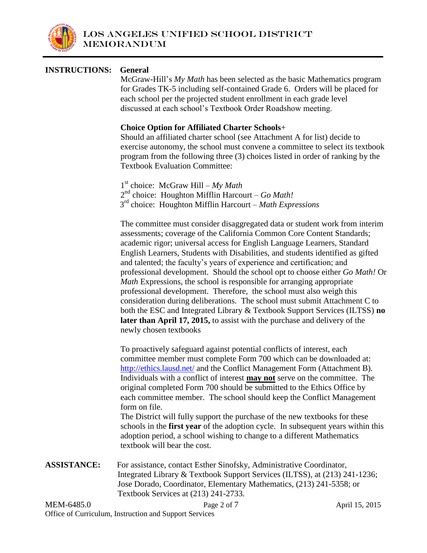

### **INSTRUCTIONS: General**

McGraw-Hill's *My Math* has been selected as the basic Mathematics program for Grades TK-5 including self-contained Grade 6. Orders will be placed for each school per the projected student enrollment in each grade level discussed at each school's Textbook Order Roadshow meeting.

#### **Choice Option for Affiliated Charter Schools**+

Should an affiliated charter school (see Attachment A for list) decide to exercise autonomy, the school must convene a committee to select its textbook program from the following three (3) choices listed in order of ranking by the Textbook Evaluation Committee:

1 st choice: McGraw Hill – *My Math* 2 nd choice: Houghton Mifflin Harcourt – *Go Math!* 3 rd choice: Houghton Mifflin Harcourt – *Math Expressions*

The committee must consider disaggregated data or student work from interim assessments; coverage of the California Common Core Content Standards; academic rigor; universal access for English Language Learners, Standard English Learners, Students with Disabilities, and students identified as gifted and talented; the faculty's years of experience and certification; and professional development. Should the school opt to choose either *Go Math!* Or *Math* Expressions, the school is responsible for arranging appropriate professional development. Therefore, the school must also weigh this consideration during deliberations. The school must submit Attachment C to both the ESC and Integrated Library & Textbook Support Services (ILTSS) **no later than April 17, 2015,** to assist with the purchase and delivery of the newly chosen textbooks

To proactively safeguard against potential conflicts of interest, each committee member must complete Form 700 which can be downloaded at: <http://ethics.lausd.net/> and the Conflict Management Form (Attachment B). Individuals with a conflict of interest **may not** serve on the committee. The original completed Form 700 should be submitted to the Ethics Office by each committee member. The school should keep the Conflict Management form on file.

The District will fully support the purchase of the new textbooks for these schools in the **first year** of the adoption cycle. In subsequent years within this adoption period, a school wishing to change to a different Mathematics textbook will bear the cost.

**ASSISTANCE:** For assistance, contact Esther Sinofsky, Administrative Coordinator, Integrated Library & Textbook Support Services (ILTSS), at (213) 241-1236; Jose Dorado, Coordinator, Elementary Mathematics, (213) 241-5358; or Textbook Services at (213) 241-2733.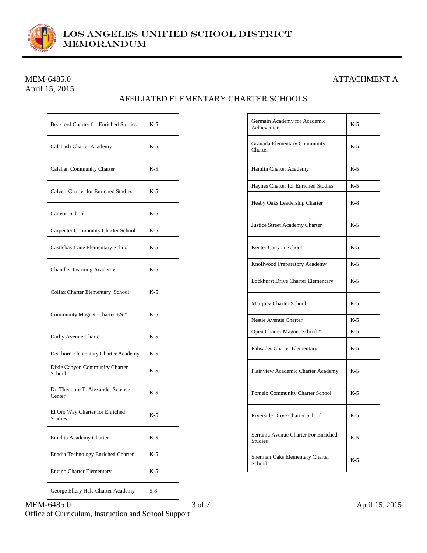

# April 15, 2015

## MEM-6485.0 ATTACHMENT A

## AFFILIATED ELEMENTARY CHARTER SCHOOLS

| <b>Beckford Charter for Enriched Studies</b>      | $K-5$   |
|---------------------------------------------------|---------|
| Calabash Charter Academy                          | $K-5$   |
| Calahan Community Charter                         | $K-5$   |
| <b>Calvert Charter for Enriched Studies</b>       | $K-5$   |
| Canyon School                                     | $K-5$   |
| <b>Carpenter Community Charter School</b>         | $K-5$   |
| Castlebay Lane Elementary School                  | $K-5$   |
| <b>Chandler Learning Academy</b>                  | $K-5$   |
| Colfax Charter Elementary School                  | $K-5$   |
| Community Magnet Charter ES <sup>*</sup>          | $K-5$   |
| Darby Avenue Charter                              | $K-5$   |
| Dearborn Elementary Charter Academy               | $K-5$   |
| Dixie Canyon Community Charter<br>School          | $K-5$   |
| Dr. Theodore T. Alexander Science<br>Center       | $K-5$   |
| El Oro Way Charter for Enriched<br><b>Studies</b> | $K-5$   |
| Emelita Academy Charter                           | $K-5$   |
| Enadia Technology Enriched Charter                | K-5     |
| Encino Charter Elementary                         | K-5     |
| George Ellery Hale Charter Academy                | $5 - 8$ |

| Germain Academy for Academic<br>Achievement            | $K-5$ |
|--------------------------------------------------------|-------|
| Granada Elementary Community<br>Charter                | $K-5$ |
| Hamlin Charter Academy                                 | $K-5$ |
| Haynes Charter for Enriched Studies                    | $K-5$ |
| Hesby Oaks Leadership Charter                          | $K-8$ |
| Justice Street Academy Charter                         | $K-5$ |
| Kenter Canyon School                                   | $K-5$ |
| Knollwood Preparatory Academy                          | $K-5$ |
| Lockhurst Drive Charter Elementary                     | $K-5$ |
| Marquez Charter School                                 | $K-5$ |
| Nestle Avenue Charter                                  | $K-5$ |
| Open Charter Magnet School *                           | $K-5$ |
| Palisades Charter Elementary                           | $K-5$ |
| Plainview Academic Charter Academy                     | $K-5$ |
| Pomelo Community Charter School                        | $K-5$ |
| Riverside Drive Charter School                         | $K-5$ |
| Serrania Avenue Charter For Enriched<br><b>Studies</b> | $K-5$ |
| Sherman Oaks Elementary Charter<br>School              | K-5   |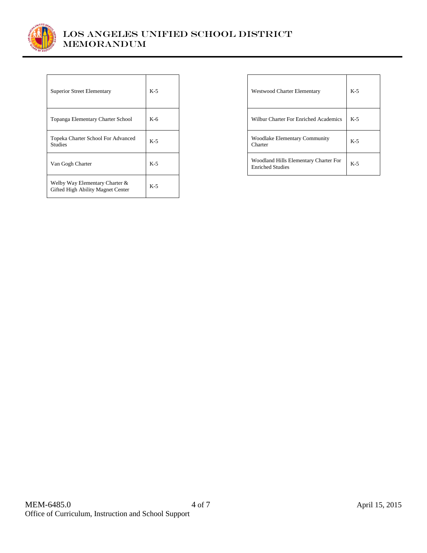

| <b>Superior Street Elementary</b>                                   | K-5   |
|---------------------------------------------------------------------|-------|
| Topanga Elementary Charter School                                   | $K-6$ |
| Topeka Charter School For Advanced<br><b>Studies</b>                | $K-5$ |
| Van Gogh Charter                                                    | $K-5$ |
| Welby Way Elementary Charter &<br>Gifted High Ability Magnet Center | $K-5$ |

| <b>Westwood Charter Elementary</b>                               | $K-5$ |
|------------------------------------------------------------------|-------|
| Wilbur Charter For Enriched Academics                            | $K-5$ |
| <b>Woodlake Elementary Community</b><br>Charter                  | $K-5$ |
| Woodland Hills Elementary Charter For<br><b>Enriched Studies</b> | $K-5$ |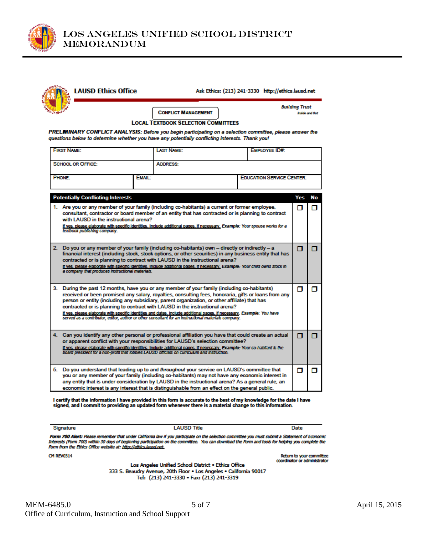

| <b>LAUSD Ethics Office</b>                                                                                                                                                                                                                                                                                               |                                            |  | Ask Ethics: (213) 241-3330 http://ethics.lausd.net |                       |                       |
|--------------------------------------------------------------------------------------------------------------------------------------------------------------------------------------------------------------------------------------------------------------------------------------------------------------------------|--------------------------------------------|--|----------------------------------------------------|-----------------------|-----------------------|
|                                                                                                                                                                                                                                                                                                                          | <b>CONFLICT MANAGEMENT</b>                 |  |                                                    | <b>Building Trust</b> | <b>Inside and Out</b> |
|                                                                                                                                                                                                                                                                                                                          | <b>LOCAL TEXTBOOK SELECTION COMMITTEES</b> |  |                                                    |                       |                       |
| PRELMINARY CONFLICT ANALYSIS: Before you begin participating on a selection committee, please answer the                                                                                                                                                                                                                 |                                            |  |                                                    |                       |                       |
| questions below to determine whether you have any potentially conflicting interests. Thank you!                                                                                                                                                                                                                          |                                            |  |                                                    |                       |                       |
| <b>FIRST NAME:</b>                                                                                                                                                                                                                                                                                                       | <b>LAST NAME:</b>                          |  | EMPLOYEE ID#:                                      |                       |                       |
| <b>SCHOOL OR OFFICE:</b>                                                                                                                                                                                                                                                                                                 | <b>ADDRESS:</b>                            |  |                                                    |                       |                       |
| <b>PHONE:</b>                                                                                                                                                                                                                                                                                                            | <b>EMAIL:</b>                              |  | <b>EDUCATION SERVICE CENTER:</b>                   |                       |                       |
|                                                                                                                                                                                                                                                                                                                          |                                            |  |                                                    |                       |                       |
| <b>Potentially Conflicting Interests</b>                                                                                                                                                                                                                                                                                 |                                            |  |                                                    | Yes                   | No                    |
| 1. Are you or any member of your family (including co-habitants) a current or former employee,<br>consultant, contractor or board member of an entity that has contracted or is planning to contract                                                                                                                     |                                            |  |                                                    | п                     | п                     |
| with LAUSD in the instructional arena?<br>If yes, please elaborate with specific identities, include additional pages, if necessary, Example: Your spouse works for a<br>textbook publishing company.                                                                                                                    |                                            |  |                                                    |                       |                       |
| 2. Do you or any member of your family (including co-habitants) own - directly or indirectly - a                                                                                                                                                                                                                         |                                            |  |                                                    | π                     | π                     |
| financial interest (including stock, stock options, or other securities) in any business entity that has<br>contracted or is planning to contract with LAUSD in the instructional arena?<br>If yes, please elaborate with specific identities, include additional pages, if necessary, Example: Your child owns stock in |                                            |  |                                                    |                       |                       |
| a company that produces instructional materials.                                                                                                                                                                                                                                                                         |                                            |  |                                                    |                       |                       |
| 3. During the past 12 months, have you or any member of your family (including co-habitants)                                                                                                                                                                                                                             |                                            |  |                                                    | п                     | σ                     |
| received or been promised any salary, royalties, consulting fees, honoraria, gifts or loans from any<br>person or entity (including any subsidiary, parent organization, or other affiliate) that has<br>contracted or is planning to contract with LAUSD in the instructional arena?                                    |                                            |  |                                                    |                       |                       |
| If yes, please elaborate with specific identities and dates, include additional pages, if necessary. Example: You have<br>served as a contributor, editor, author or other consultant for an instructional materials company.                                                                                            |                                            |  |                                                    |                       |                       |
| 4. Can you identify any other personal or professional affiliation you have that could create an actual<br>or apparent conflict with your responsibilities for LAUSD's selection committee?                                                                                                                              |                                            |  |                                                    | п                     | α                     |
| If yes, please elaborate with specific identities, include additional pages, if necessary, Example: Your co-habitant is the<br>board president for a non-profit that lobbles LAUSD officials on curriculum and instruction.                                                                                              |                                            |  |                                                    |                       |                       |
| 5. Do you understand that leading up to and throughout your service on LAUSD's committee that<br>you or any member of your family (including co-habitants) may not have any economic interest in                                                                                                                         |                                            |  |                                                    | п                     | σ                     |
| any entity that is under consideration by LAUSD in the instructional arena? As a general rule, an<br>economic interest is any interest that is distinguishable from an effect on the general public.                                                                                                                     |                                            |  |                                                    |                       |                       |

I certify that the information I have provided in this form is accurate to the best of my knowledge for the date I have<br>signed, and I commit to providing an updated form whenever there is a material change to this informat

Signature

**LAUSD Title** 

Date

Return to your committee<br>coordinator or administrator

Form 700 Alert: Please remember that under California law if you participate on the selection committee you must submit a Statement of Economic Interests (Form 700) within 30 days of beginning participation on the committee. You can download the Form and tools for helping you complete the<br>Form from the Ethics Office website at: http://ethics.lausd.net.

**CM REV0314** 

Los Angeles Unified School District . Ethics Office 333 S. Beaudry Avenue, 20th Floor . Los Angeles . California 90017 Tel: (213) 241-3330 · Fax: (213) 241-3319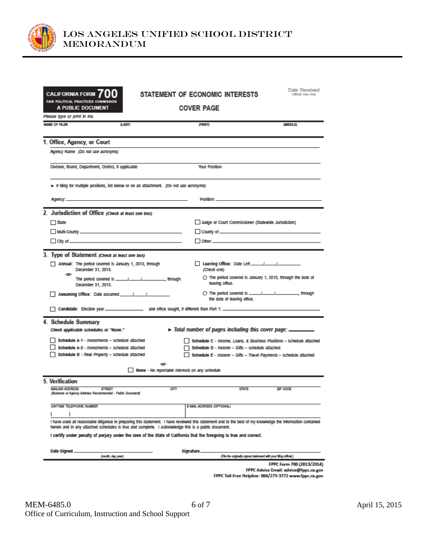

| <b>CALIFORNIA FORM</b>                                                                                               |                                                                                    | <b>STATEMENT OF ECONOMIC INTERESTS</b>                                                                                                                                                                                                                            | Date Received<br><b>Official Lisa Only</b> |  |  |
|----------------------------------------------------------------------------------------------------------------------|------------------------------------------------------------------------------------|-------------------------------------------------------------------------------------------------------------------------------------------------------------------------------------------------------------------------------------------------------------------|--------------------------------------------|--|--|
| <b>FAIR POLITICAL PRACTICES COMMISSION</b><br><b>A PUBLIC DOCUMENT</b>                                               |                                                                                    | <b>COVER PAGE</b>                                                                                                                                                                                                                                                 |                                            |  |  |
| Please type or print in ink.<br><b>NAME OF FILER</b>                                                                 | (LAST)                                                                             | (FIRST)                                                                                                                                                                                                                                                           | (MIDDLE)                                   |  |  |
|                                                                                                                      |                                                                                    |                                                                                                                                                                                                                                                                   |                                            |  |  |
| 1. Office, Agency, or Court                                                                                          |                                                                                    |                                                                                                                                                                                                                                                                   |                                            |  |  |
| Agency Name (Do not use acronyms)                                                                                    |                                                                                    |                                                                                                                                                                                                                                                                   |                                            |  |  |
| Division, Board, Department, District, if applicable                                                                 |                                                                                    | <b>Your Position</b>                                                                                                                                                                                                                                              |                                            |  |  |
|                                                                                                                      | Fing for multiple positions, list below or on an attachment. (Do not use acronyms) |                                                                                                                                                                                                                                                                   |                                            |  |  |
|                                                                                                                      |                                                                                    | Position: Position Provides                                                                                                                                                                                                                                       |                                            |  |  |
| 2. Jurisdiction of Office (Check at least one box)                                                                   |                                                                                    |                                                                                                                                                                                                                                                                   |                                            |  |  |
| $\Box$ State                                                                                                         |                                                                                    | Judge or Court Commissioner (Statewide Jurisdiction)                                                                                                                                                                                                              |                                            |  |  |
|                                                                                                                      |                                                                                    |                                                                                                                                                                                                                                                                   |                                            |  |  |
|                                                                                                                      |                                                                                    |                                                                                                                                                                                                                                                                   |                                            |  |  |
|                                                                                                                      |                                                                                    |                                                                                                                                                                                                                                                                   |                                            |  |  |
| 3. Type of Statement (Check at least one box)                                                                        |                                                                                    |                                                                                                                                                                                                                                                                   |                                            |  |  |
| December 31, 2013.<br>-or-                                                                                           | Annual: The period covered is January 1, 2013, through                             | (Check one)                                                                                                                                                                                                                                                       |                                            |  |  |
| December 31, 2013.                                                                                                   |                                                                                    | $\bigcirc$ The period covered is January 1, 2013, through the date of<br>leaving office.                                                                                                                                                                          |                                            |  |  |
|                                                                                                                      | Assuming Office: Date assumed 11 11                                                | the date of leaving office.                                                                                                                                                                                                                                       |                                            |  |  |
|                                                                                                                      |                                                                                    |                                                                                                                                                                                                                                                                   |                                            |  |  |
| 4. Schedule Summary                                                                                                  |                                                                                    |                                                                                                                                                                                                                                                                   |                                            |  |  |
| Check applicable schedules or "None."                                                                                |                                                                                    | $\blacktriangleright$ Total number of pages including this cover page: ________                                                                                                                                                                                   |                                            |  |  |
|                                                                                                                      | Schedule A-1 - Investments - schedule attached                                     | Schedule C - Income, Loans, & Business Positions - schedule attached                                                                                                                                                                                              |                                            |  |  |
|                                                                                                                      | Schedule A-2 - Investments - schedule attached                                     | Schedule D - Income - Gifts - schedule attached                                                                                                                                                                                                                   |                                            |  |  |
|                                                                                                                      | Schedule B - Real Property - schedule attached                                     | Schedule E - Income - Gifts - Travel Payments - schedule attached                                                                                                                                                                                                 |                                            |  |  |
| -06<br>None - No reportable interests on any schedule                                                                |                                                                                    |                                                                                                                                                                                                                                                                   |                                            |  |  |
| 5. Verification                                                                                                      |                                                                                    |                                                                                                                                                                                                                                                                   |                                            |  |  |
| <b>MAILING ADDRESS</b><br>(Business or Agency Address Recommended - Public Document)                                 | <b>STREET</b>                                                                      | CITY<br><b>STATE</b>                                                                                                                                                                                                                                              | ZIP CODE                                   |  |  |
| DAYTIME TELEPHONE NUMBER                                                                                             |                                                                                    | E-MAIL ADDRESS (OPTIONAL)                                                                                                                                                                                                                                         |                                            |  |  |
|                                                                                                                      |                                                                                    |                                                                                                                                                                                                                                                                   |                                            |  |  |
|                                                                                                                      |                                                                                    | I have used all reasonable diligence in preparing this statement. I have reviewed this statement and to the best of my knowledge the information contained<br>herein and in any attached schedules is true and complete. I acknowledge this is a public document. |                                            |  |  |
| I certify under penalty of perjury under the laws of the State of California that the foregoing is true and correct. |                                                                                    |                                                                                                                                                                                                                                                                   |                                            |  |  |
| Date Signed.                                                                                                         |                                                                                    | Signature.                                                                                                                                                                                                                                                        |                                            |  |  |
|                                                                                                                      | (month, day, year)                                                                 | (File the originally signed statement with your filing official.)                                                                                                                                                                                                 |                                            |  |  |